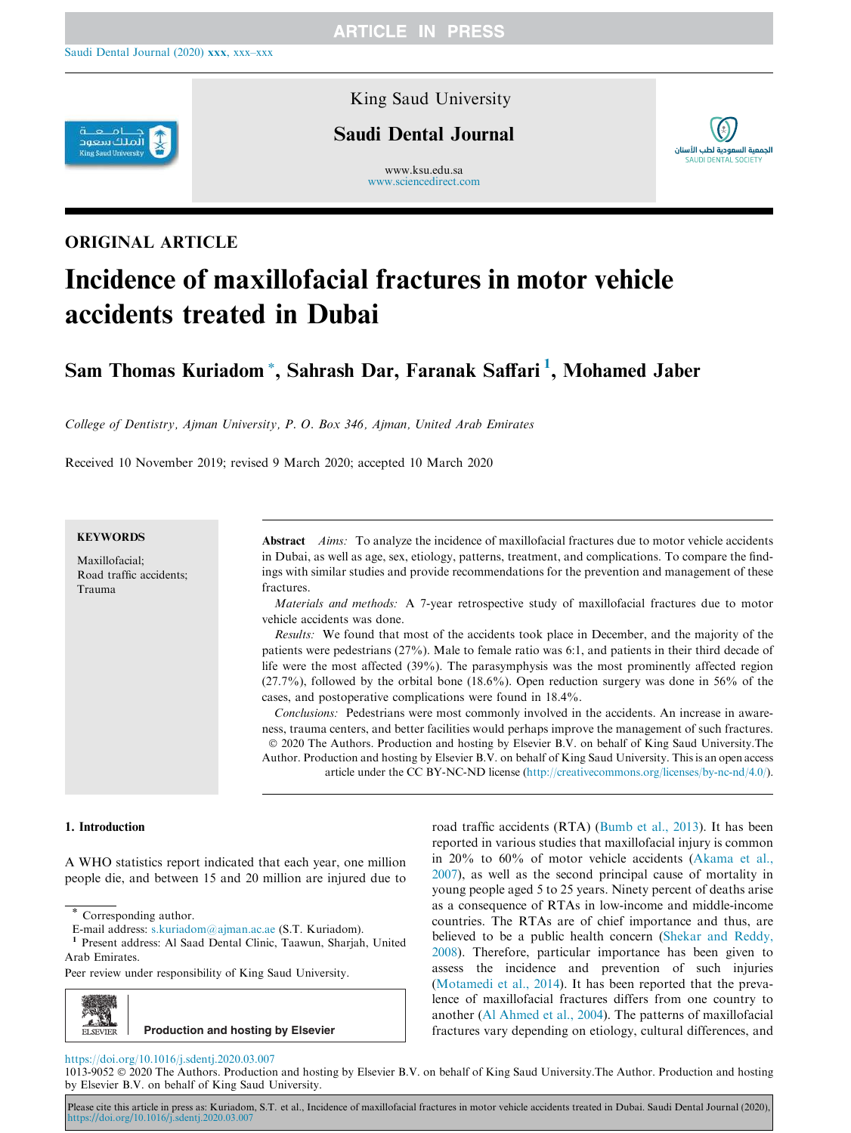

## King Saud University

## Saudi Dental Journal

www.ksu.edu.sa www.sciencedirect.com



# ORIGINAL ARTICLE

# Incidence of maxillofacial fractures in motor vehicle accidents treated in Dubai

Sam Thomas Kuriadom \*, Sahrash Dar, Faranak Saffari <sup>1</sup>, Mohamed Jaber

*College of Dentistry, Ajman University, P. O. Box 346, Ajman, United Arab Emirates*

Received 10 November 2019; revised 9 March 2020; accepted 10 March 2020

## **KEYWORDS**

Maxillofacial; Road traffic accidents; Trauma

Abstract *Aims:* To analyze the incidence of maxillofacial fractures due to motor vehicle accidents in Dubai, as well as age, sex, etiology, patterns, treatment, and complications. To compare the findings with similar studies and provide recommendations for the prevention and management of these fractures.

*Materials and methods:* A 7-year retrospective study of maxillofacial fractures due to motor vehicle accidents was done.

*Results:* We found that most of the accidents took place in December, and the majority of the patients were pedestrians (27%). Male to female ratio was 6:1, and patients in their third decade of life were the most affected (39%). The parasymphysis was the most prominently affected region (27.7%), followed by the orbital bone (18.6%). Open reduction surgery was done in 56% of the cases, and postoperative complications were found in 18.4%.

*Conclusions:* Pedestrians were most commonly involved in the accidents. An increase in awareness, trauma centers, and better facilities would perhaps improve the management of such fractures. 2020 The Authors. Production and hosting by Elsevier B.V. on behalf of King Saud University.The Author. Production and hosting by Elsevier B.V. on behalf of King Saud University. This is an open access article under the CC BY-NC-ND license (http://creativecommons.org/licenses/by-nc-nd/4.0/).

## 1. Introduction

A WHO statistics report indicated that each year, one million people die, and between 15 and 20 million are injured due to

Peer review under responsibility of King Saud University.



road traffic accidents (RTA) (Bumb et al., 2013)*.* It has been reported in various studies that maxillofacial injury is common in 20% to 60% of motor vehicle accidents (Akama et al., 2007), as well as the second principal cause of mortality in young people aged 5 to 25 years. Ninety percent of deaths arise as a consequence of RTAs in low-income and middle-income countries. The RTAs are of chief importance and thus, are believed to be a public health concern (Shekar and Reddy, 2008). Therefore, particular importance has been given to assess the incidence and prevention of such injuries (Motamedi et al., 2014). It has been reported that the prevalence of maxillofacial fractures differs from one country to another (Al Ahmed et al., 2004). The patterns of maxillofacial fractures vary depending on etiology, cultural differences, and

#### https://doi.org/10.1016/j.sdentj.2020.03.007

1013-9052 2020 The Authors. Production and hosting by Elsevier B.V. on behalf of King Saud University.The Author. Production and hosting by Elsevier B.V. on behalf of King Saud University.

Please cite this article in press as: Kuriadom, S.T. et al., Incidence of maxillofacial fractures in motor vehicle accidents treated in Dubai. Saudi Dental Journal (2020), https://doi.org/10.1016/j.sdentj.2020.03.007

Corresponding author.

E-mail address: s.kuriadom@ajman.ac.ae (S.T. Kuriadom).<br><sup>1</sup> Present address: Al Saad Dental Clinic, Taawun, Shariah

Present address: Al Saad Dental Clinic, Taawun, Sharjah, United Arab Emirates.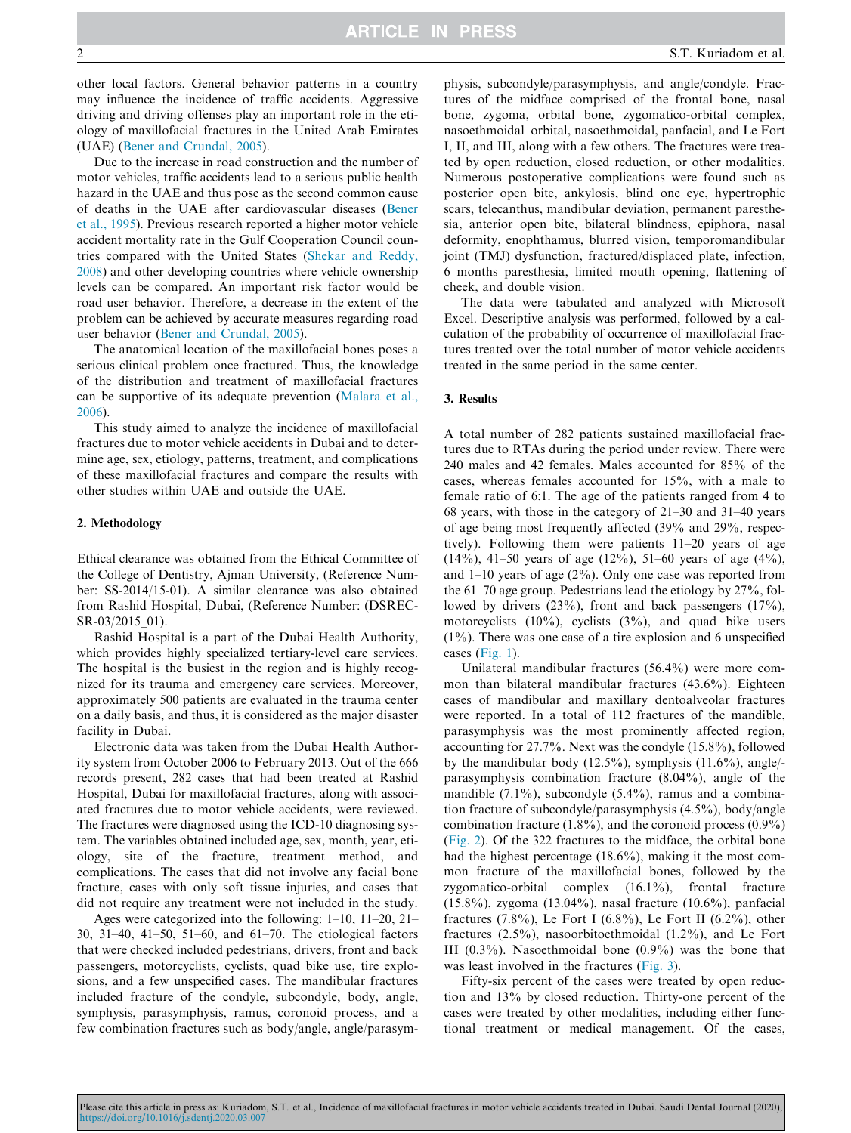other local factors. General behavior patterns in a country may influence the incidence of traffic accidents. Aggressive driving and driving offenses play an important role in the etiology of maxillofacial fractures in the United Arab Emirates (UAE) (Bener and Crundal, 2005).

Due to the increase in road construction and the number of motor vehicles, traffic accidents lead to a serious public health hazard in the UAE and thus pose as the second common cause of deaths in the UAE after cardiovascular diseases (Bener et al., 1995). Previous research reported a higher motor vehicle accident mortality rate in the Gulf Cooperation Council countries compared with the United States (Shekar and Reddy, 2008) and other developing countries where vehicle ownership levels can be compared. An important risk factor would be road user behavior. Therefore, a decrease in the extent of the problem can be achieved by accurate measures regarding road user behavior (Bener and Crundal, 2005).

The anatomical location of the maxillofacial bones poses a serious clinical problem once fractured. Thus, the knowledge of the distribution and treatment of maxillofacial fractures can be supportive of its adequate prevention (Malara et al., 2006).

This study aimed to analyze the incidence of maxillofacial fractures due to motor vehicle accidents in Dubai and to determine age, sex, etiology, patterns, treatment, and complications of these maxillofacial fractures and compare the results with other studies within UAE and outside the UAE.

#### 2. Methodology

Ethical clearance was obtained from the Ethical Committee of the College of Dentistry, Ajman University, (Reference Number: SS-2014/15-01). A similar clearance was also obtained from Rashid Hospital, Dubai, (Reference Number: (DSREC-SR-03/2015\_01).

Rashid Hospital is a part of the Dubai Health Authority, which provides highly specialized tertiary-level care services. The hospital is the busiest in the region and is highly recognized for its trauma and emergency care services. Moreover, approximately 500 patients are evaluated in the trauma center on a daily basis, and thus, it is considered as the major disaster facility in Dubai.

Electronic data was taken from the Dubai Health Authority system from October 2006 to February 2013. Out of the 666 records present, 282 cases that had been treated at Rashid Hospital, Dubai for maxillofacial fractures, along with associated fractures due to motor vehicle accidents, were reviewed. The fractures were diagnosed using the ICD-10 diagnosing system. The variables obtained included age, sex, month, year, etiology, site of the fracture, treatment method, and complications. The cases that did not involve any facial bone fracture, cases with only soft tissue injuries, and cases that did not require any treatment were not included in the study.

Ages were categorized into the following: 1–10, 11–20, 21– 30, 31–40, 41–50, 51–60, and 61–70. The etiological factors that were checked included pedestrians, drivers, front and back passengers, motorcyclists, cyclists, quad bike use, tire explosions, and a few unspecified cases. The mandibular fractures included fracture of the condyle, subcondyle, body, angle, symphysis, parasymphysis, ramus, coronoid process, and a few combination fractures such as body/angle, angle/parasym-

physis, subcondyle/parasymphysis, and angle/condyle. Fractures of the midface comprised of the frontal bone, nasal bone, zygoma, orbital bone, zygomatico-orbital complex, nasoethmoidal–orbital, nasoethmoidal, panfacial, and Le Fort I, II, and III, along with a few others. The fractures were treated by open reduction, closed reduction, or other modalities. Numerous postoperative complications were found such as posterior open bite, ankylosis, blind one eye, hypertrophic scars, telecanthus, mandibular deviation, permanent paresthesia, anterior open bite, bilateral blindness, epiphora, nasal deformity, enophthamus, blurred vision, temporomandibular joint (TMJ) dysfunction, fractured/displaced plate, infection, 6 months paresthesia, limited mouth opening, flattening of cheek, and double vision.

The data were tabulated and analyzed with Microsoft Excel. Descriptive analysis was performed, followed by a calculation of the probability of occurrence of maxillofacial fractures treated over the total number of motor vehicle accidents treated in the same period in the same center.

#### 3. Results

A total number of 282 patients sustained maxillofacial fractures due to RTAs during the period under review. There were 240 males and 42 females. Males accounted for 85% of the cases, whereas females accounted for 15%, with a male to female ratio of 6:1. The age of the patients ranged from 4 to 68 years, with those in the category of 21–30 and 31–40 years of age being most frequently affected (39% and 29%, respectively). Following them were patients 11–20 years of age (14%), 41–50 years of age (12%), 51–60 years of age (4%), and 1–10 years of age (2%). Only one case was reported from the 61–70 age group. Pedestrians lead the etiology by 27%, followed by drivers (23%), front and back passengers (17%), motorcyclists  $(10\%)$ , cyclists  $(3\%)$ , and quad bike users  $(1\%)$ . There was one case of a tire explosion and 6 unspecified cases (Fig. 1).

Unilateral mandibular fractures (56.4%) were more common than bilateral mandibular fractures (43.6%). Eighteen cases of mandibular and maxillary dentoalveolar fractures were reported. In a total of 112 fractures of the mandible, parasymphysis was the most prominently affected region, accounting for 27.7%. Next was the condyle (15.8%), followed by the mandibular body (12.5%), symphysis (11.6%), angle/ parasymphysis combination fracture (8.04%), angle of the mandible (7.1%), subcondyle (5.4%), ramus and a combination fracture of subcondyle/parasymphysis (4.5%), body/angle combination fracture  $(1.8\%)$ , and the coronoid process  $(0.9\%)$ (Fig. 2). Of the 322 fractures to the midface, the orbital bone had the highest percentage (18.6%), making it the most common fracture of the maxillofacial bones, followed by the zygomatico-orbital complex (16.1%), frontal fracture (15.8%), zygoma (13.04%), nasal fracture (10.6%), panfacial fractures  $(7.8\%)$ , Le Fort I  $(6.8\%)$ , Le Fort II  $(6.2\%)$ , other fractures (2.5%), nasoorbitoethmoidal (1.2%), and Le Fort III  $(0.3\%)$ . Nasoethmoidal bone  $(0.9\%)$  was the bone that was least involved in the fractures (Fig. 3).

Fifty-six percent of the cases were treated by open reduction and 13% by closed reduction. Thirty-one percent of the cases were treated by other modalities, including either functional treatment or medical management. Of the cases,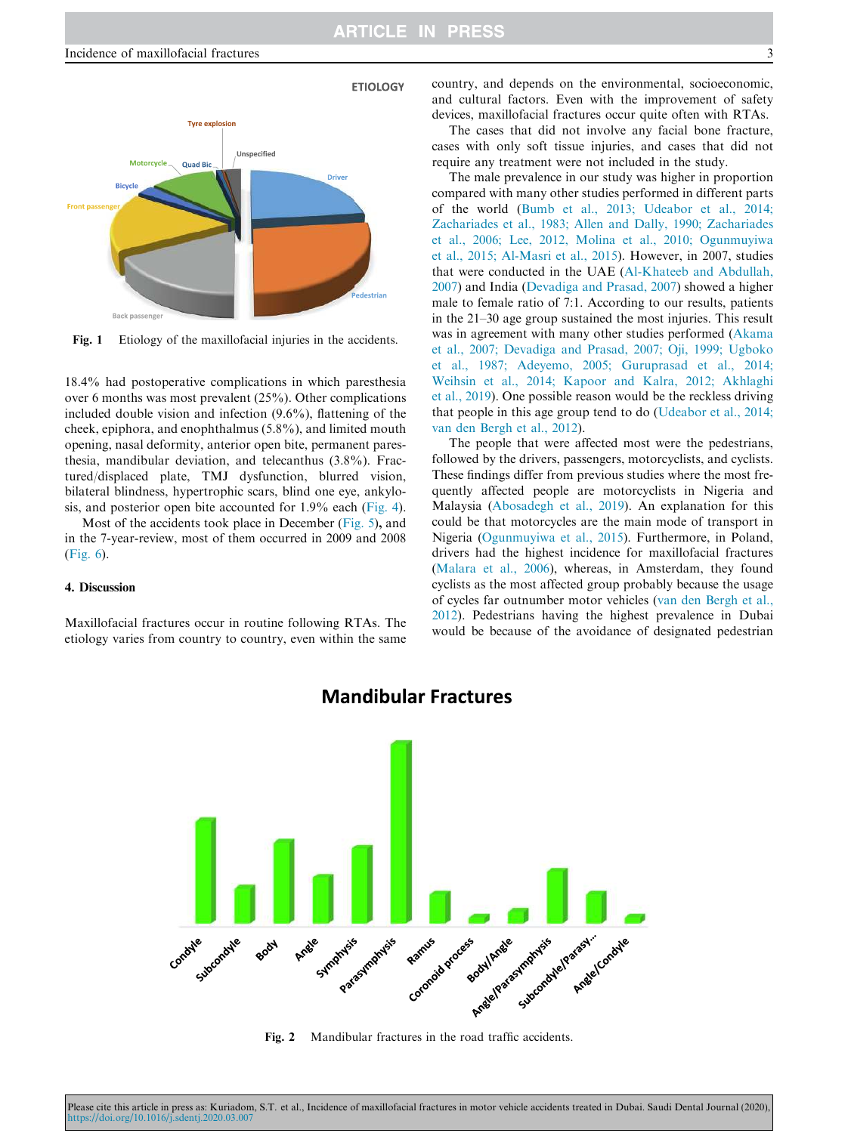

Fig. 1 Etiology of the maxillofacial injuries in the accidents.

18.4% had postoperative complications in which paresthesia over 6 months was most prevalent (25%). Other complications included double vision and infection (9.6%), flattening of the cheek, epiphora, and enophthalmus (5.8%), and limited mouth opening, nasal deformity, anterior open bite, permanent paresthesia, mandibular deviation, and telecanthus (3.8%). Fractured/displaced plate, TMJ dysfunction, blurred vision, bilateral blindness, hypertrophic scars, blind one eye, ankylosis, and posterior open bite accounted for 1.9% each (Fig. 4).

Most of the accidents took place in December (Fig. 5), and in the 7-year-review, most of them occurred in 2009 and 2008 (Fig. 6).

### 4. Discussion

Maxillofacial fractures occur in routine following RTAs. The etiology varies from country to country, even within the same country, and depends on the environmental, socioeconomic, and cultural factors. Even with the improvement of safety devices, maxillofacial fractures occur quite often with RTAs.

The cases that did not involve any facial bone fracture, cases with only soft tissue injuries, and cases that did not require any treatment were not included in the study.

The male prevalence in our study was higher in proportion compared with many other studies performed in different parts of the world (Bumb et al., 2013; Udeabor et al., 2014; Zachariades et al., 1983; Allen and Dally, 1990; Zachariades et al., 2006; Lee, 2012, Molina et al., 2010; Ogunmuyiwa et al., 2015; Al-Masri et al., 2015). However, in 2007, studies that were conducted in the UAE (Al-Khateeb and Abdullah, 2007) and India (Devadiga and Prasad, 2007) showed a higher male to female ratio of 7:1. According to our results, patients in the 21–30 age group sustained the most injuries. This result was in agreement with many other studies performed (Akama et al., 2007; Devadiga and Prasad, 2007; Oji, 1999; Ugboko et al., 1987; Adeyemo, 2005; Guruprasad et al., 2014; Weihsin et al., 2014; Kapoor and Kalra, 2012; Akhlaghi et al., 2019)*.* One possible reason would be the reckless driving that people in this age group tend to do (Udeabor et al., 2014; van den Bergh et al., 2012)*.*

The people that were affected most were the pedestrians, followed by the drivers, passengers, motorcyclists, and cyclists. These findings differ from previous studies where the most frequently affected people are motorcyclists in Nigeria and Malaysia (Abosadegh et al., 2019). An explanation for this could be that motorcycles are the main mode of transport in Nigeria (Ogunmuyiwa et al., 2015). Furthermore, in Poland, drivers had the highest incidence for maxillofacial fractures (Malara et al., 2006), whereas, in Amsterdam, they found cyclists as the most affected group probably because the usage of cycles far outnumber motor vehicles (van den Bergh et al., 2012). Pedestrians having the highest prevalence in Dubai would be because of the avoidance of designated pedestrian



## **Mandibular Fractures**

Fig. 2 Mandibular fractures in the road traffic accidents.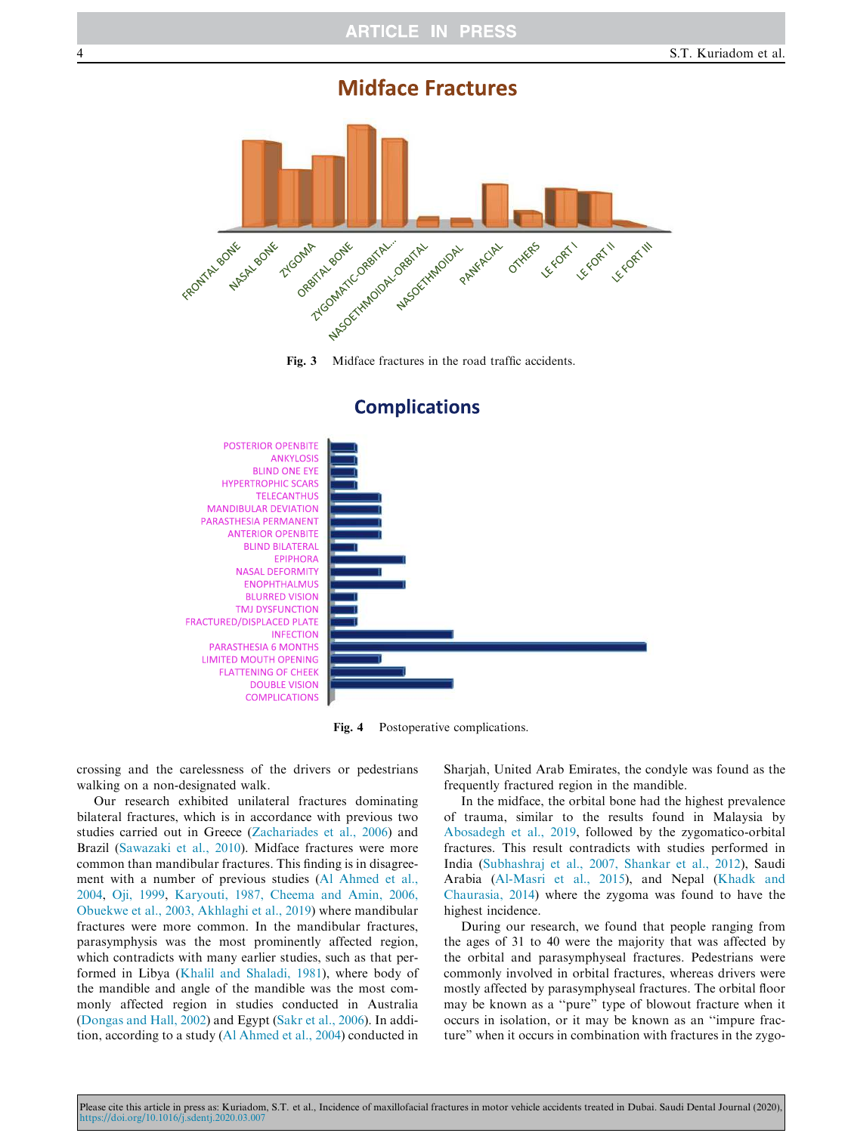# **Midface Fractures**





## **Complications**

Fig. 4 Postoperative complications.

crossing and the carelessness of the drivers or pedestrians walking on a non-designated walk.

Our research exhibited unilateral fractures dominating bilateral fractures, which is in accordance with previous two studies carried out in Greece (Zachariades et al., 2006) and Brazil (Sawazaki et al., 2010). Midface fractures were more common than mandibular fractures. This finding is in disagreement with a number of previous studies (Al Ahmed et al., 2004, Oji, 1999, Karyouti, 1987, Cheema and Amin, 2006, Obuekwe et al., 2003, Akhlaghi et al., 2019) where mandibular fractures were more common. In the mandibular fractures, parasymphysis was the most prominently affected region, which contradicts with many earlier studies, such as that performed in Libya (Khalil and Shaladi, 1981), where body of the mandible and angle of the mandible was the most commonly affected region in studies conducted in Australia (Dongas and Hall, 2002) and Egypt (Sakr et al., 2006). In addition, according to a study (Al Ahmed et al., 2004) conducted in Sharjah, United Arab Emirates, the condyle was found as the frequently fractured region in the mandible.

In the midface, the orbital bone had the highest prevalence of trauma, similar to the results found in Malaysia by Abosadegh et al., 2019, followed by the zygomatico-orbital fractures. This result contradicts with studies performed in India (Subhashraj et al., 2007, Shankar et al., 2012), Saudi Arabia (Al-Masri et al., 2015), and Nepal (Khadk and Chaurasia, 2014) where the zygoma was found to have the highest incidence.

During our research, we found that people ranging from the ages of 31 to 40 were the majority that was affected by the orbital and parasymphyseal fractures. Pedestrians were commonly involved in orbital fractures, whereas drivers were mostly affected by parasymphyseal fractures. The orbital floor may be known as a ''pure" type of blowout fracture when it occurs in isolation, or it may be known as an ''impure fracture" when it occurs in combination with fractures in the zygo-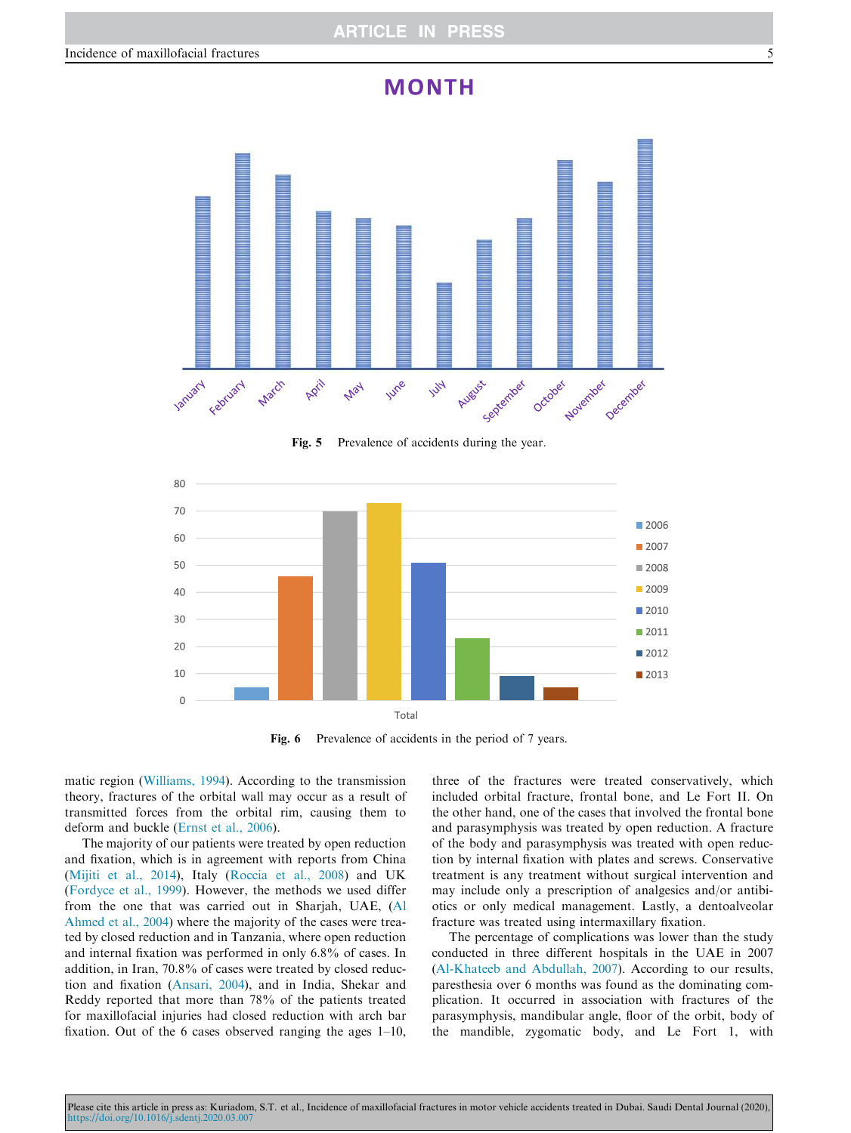# **MONTH**



Fig. 5 Prevalence of accidents during the year.



Fig. 6 Prevalence of accidents in the period of 7 years.

matic region (Williams, 1994). According to the transmission theory, fractures of the orbital wall may occur as a result of transmitted forces from the orbital rim, causing them to deform and buckle (Ernst et al., 2006).

The majority of our patients were treated by open reduction and fixation, which is in agreement with reports from China (Mijiti et al., 2014), Italy (Roccia et al., 2008) and UK (Fordyce et al., 1999). However, the methods we used differ from the one that was carried out in Sharjah, UAE, (Al Ahmed et al., 2004) where the majority of the cases were treated by closed reduction and in Tanzania, where open reduction and internal fixation was performed in only 6.8% of cases. In addition, in Iran, 70.8% of cases were treated by closed reduction and fixation (Ansari, 2004), and in India, Shekar and Reddy reported that more than 78% of the patients treated for maxillofacial injuries had closed reduction with arch bar fixation. Out of the 6 cases observed ranging the ages 1–10, three of the fractures were treated conservatively, which included orbital fracture, frontal bone, and Le Fort II. On the other hand, one of the cases that involved the frontal bone and parasymphysis was treated by open reduction. A fracture of the body and parasymphysis was treated with open reduction by internal fixation with plates and screws. Conservative treatment is any treatment without surgical intervention and may include only a prescription of analgesics and/or antibiotics or only medical management. Lastly, a dentoalveolar fracture was treated using intermaxillary fixation.

The percentage of complications was lower than the study conducted in three different hospitals in the UAE in 2007 (Al-Khateeb and Abdullah, 2007). According to our results, paresthesia over 6 months was found as the dominating complication. It occurred in association with fractures of the parasymphysis, mandibular angle, floor of the orbit, body of the mandible, zygomatic body, and Le Fort 1, with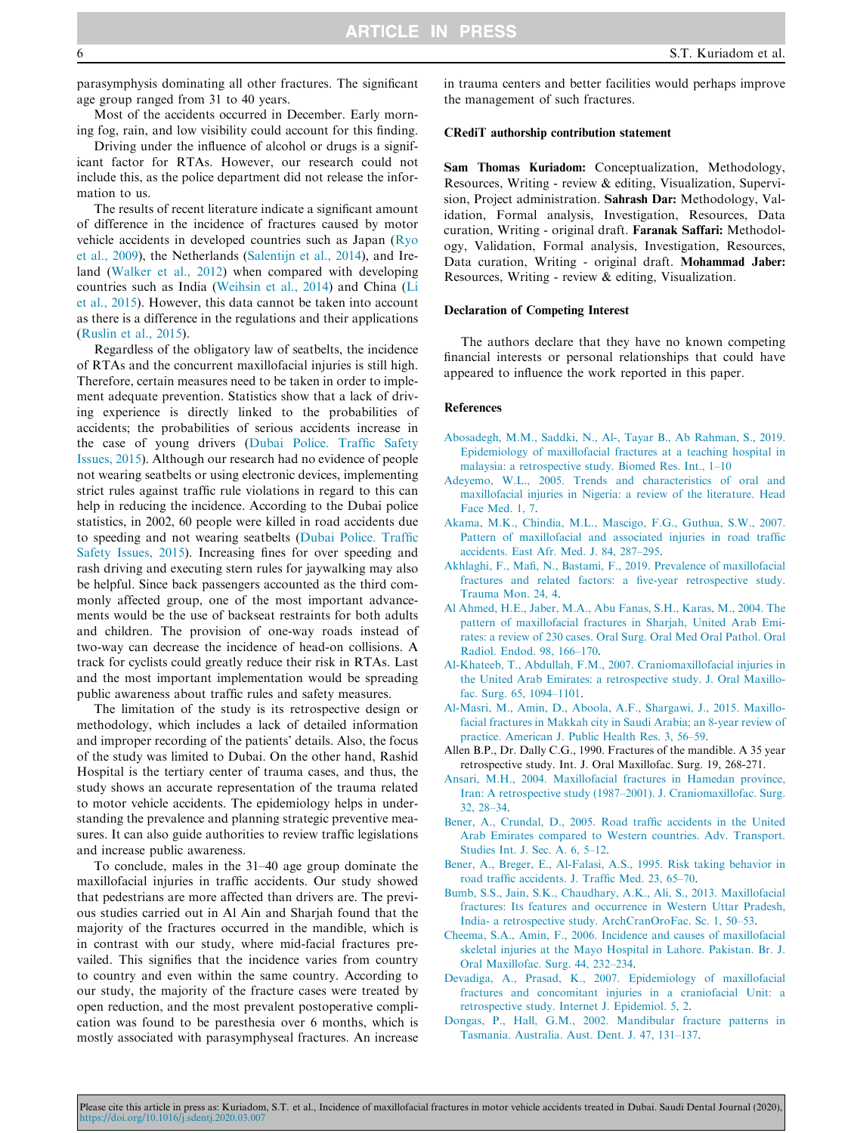parasymphysis dominating all other fractures. The significant age group ranged from 31 to 40 years.

Most of the accidents occurred in December. Early morning fog, rain, and low visibility could account for this finding.

Driving under the influence of alcohol or drugs is a significant factor for RTAs. However, our research could not include this, as the police department did not release the information to us.

The results of recent literature indicate a significant amount of difference in the incidence of fractures caused by motor vehicle accidents in developed countries such as Japan (Ryo et al., 2009), the Netherlands (Salentijn et al., 2014), and Ireland (Walker et al., 2012) when compared with developing countries such as India (Weihsin et al., 2014) and China (Li et al., 2015). However, this data cannot be taken into account as there is a difference in the regulations and their applications (Ruslin et al., 2015).

Regardless of the obligatory law of seatbelts, the incidence of RTAs and the concurrent maxillofacial injuries is still high. Therefore, certain measures need to be taken in order to implement adequate prevention. Statistics show that a lack of driving experience is directly linked to the probabilities of accidents; the probabilities of serious accidents increase in the case of young drivers (Dubai Police. Traffic Safety Issues, 2015). Although our research had no evidence of people not wearing seatbelts or using electronic devices, implementing strict rules against traffic rule violations in regard to this can help in reducing the incidence. According to the Dubai police statistics, in 2002, 60 people were killed in road accidents due to speeding and not wearing seatbelts (Dubai Police. Traffic Safety Issues, 2015). Increasing fines for over speeding and rash driving and executing stern rules for jaywalking may also be helpful. Since back passengers accounted as the third commonly affected group, one of the most important advancements would be the use of backseat restraints for both adults and children. The provision of one-way roads instead of two-way can decrease the incidence of head-on collisions. A track for cyclists could greatly reduce their risk in RTAs. Last and the most important implementation would be spreading public awareness about traffic rules and safety measures.

The limitation of the study is its retrospective design or methodology, which includes a lack of detailed information and improper recording of the patients' details. Also, the focus of the study was limited to Dubai. On the other hand, Rashid Hospital is the tertiary center of trauma cases, and thus, the study shows an accurate representation of the trauma related to motor vehicle accidents. The epidemiology helps in understanding the prevalence and planning strategic preventive measures. It can also guide authorities to review traffic legislations and increase public awareness.

To conclude, males in the 31–40 age group dominate the maxillofacial injuries in traffic accidents. Our study showed that pedestrians are more affected than drivers are. The previous studies carried out in Al Ain and Sharjah found that the majority of the fractures occurred in the mandible, which is in contrast with our study, where mid-facial fractures prevailed. This signifies that the incidence varies from country to country and even within the same country. According to our study, the majority of the fracture cases were treated by open reduction, and the most prevalent postoperative complication was found to be paresthesia over 6 months, which is mostly associated with parasymphyseal fractures. An increase

in trauma centers and better facilities would perhaps improve the management of such fractures.

#### CRediT authorship contribution statement

Sam Thomas Kuriadom: Conceptualization, Methodology, Resources, Writing - review & editing, Visualization, Supervision, Project administration. Sahrash Dar: Methodology, Validation, Formal analysis, Investigation, Resources, Data curation, Writing - original draft. Faranak Saffari: Methodology, Validation, Formal analysis, Investigation, Resources, Data curation, Writing - original draft. Mohammad Jaber: Resources, Writing - review & editing, Visualization.

#### Declaration of Competing Interest

The authors declare that they have no known competing financial interests or personal relationships that could have appeared to influence the work reported in this paper.

#### References

- Abosadegh, M.M., Saddki, N., Al-, Tayar B., Ab Rahman, S., 2019. Epidemiology of maxillofacial fractures at a teaching hospital in malaysia: a retrospective study. Biomed Res. Int., 1–10
- Adeyemo, W.L., 2005. Trends and characteristics of oral and maxillofacial injuries in Nigeria: a review of the literature. Head Face Med. 1, 7.
- Akama, M.K., Chindia, M.L., Mascigo, F.G., Guthua, S.W., 2007. Pattern of maxillofacial and associated injuries in road traffic accidents. East Afr. Med. J. 84, 287–295.
- Akhlaghi, F., Mafi, N., Bastami, F., 2019. Prevalence of maxillofacial fractures and related factors: a five-year retrospective study. Trauma Mon. 24, 4.
- Al Ahmed, H.E., Jaber, M.A., Abu Fanas, S.H., Karas, M., 2004. The pattern of maxillofacial fractures in Sharjah, United Arab Emirates: a review of 230 cases. Oral Surg. Oral Med Oral Pathol. Oral Radiol. Endod. 98, 166–170.
- Al-Khateeb, T., Abdullah, F.M., 2007. Craniomaxillofacial injuries in the United Arab Emirates: a retrospective study. J. Oral Maxillofac. Surg. 65, 1094–1101.
- Al-Masri, M., Amin, D., Aboola, A.F., Shargawi, J., 2015. Maxillofacial fractures in Makkah city in Saudi Arabia; an 8-year review of practice. American J. Public Health Res. 3, 56–59.
- Allen B.P., Dr. Dally C.G., 1990. Fractures of the mandible. A 35 year retrospective study. Int. J. Oral Maxillofac. Surg. 19, 268-271.
- Ansari, M.H., 2004. Maxillofacial fractures in Hamedan province, Iran: A retrospective study (1987–2001). J. Craniomaxillofac. Surg. 32, 28–34.
- Bener, A., Crundal, D., 2005. Road traffic accidents in the United Arab Emirates compared to Western countries. Adv. Transport. Studies Int. J. Sec. A*.* 6, 5–12.
- Bener, A., Breger, E., Al-Falasi, A.S., 1995. Risk taking behavior in road traffic accidents. J. Traffic Med. 23, 65–70.
- Bumb, S.S., Jain, S.K., Chaudhary, A.K., Ali, S., 2013. Maxillofacial fractures: Its features and occurrence in Western Uttar Pradesh, India- a retrospective study. ArchCranOroFac. Sc. 1, 50–53.
- Cheema, S.A., Amin, F., 2006. Incidence and causes of maxillofacial skeletal injuries at the Mayo Hospital in Lahore. Pakistan. Br. J. Oral Maxillofac. Surg. 44, 232–234.
- Devadiga, A., Prasad, K., 2007. Epidemiology of maxillofacial fractures and concomitant injuries in a craniofacial Unit: a retrospective study. Internet J. Epidemiol. 5, 2.
- Dongas, P., Hall, G.M., 2002. Mandibular fracture patterns in Tasmania. Australia. Aust. Dent. J. 47, 131–137.